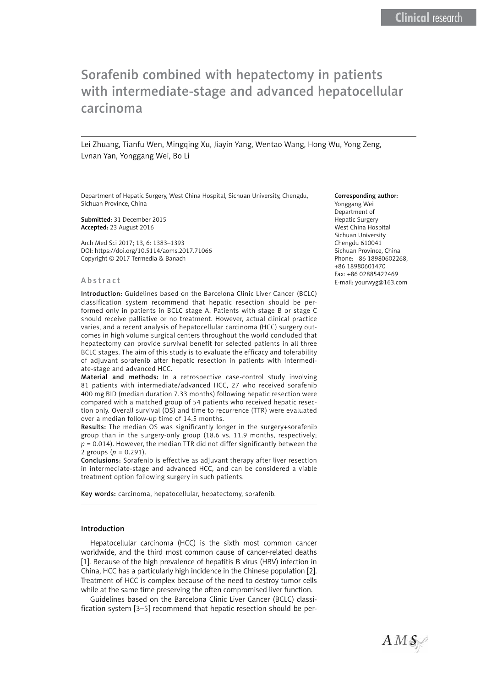# Sorafenib combined with hepatectomy in patients with intermediate-stage and advanced hepatocellular carcinoma

Lei Zhuang, Tianfu Wen, Mingqing Xu, Jiayin Yang, Wentao Wang, Hong Wu, Yong Zeng, Lvnan Yan, Yonggang Wei, Bo Li

Department of Hepatic Surgery, West China Hospital, Sichuan University, Chengdu, Sichuan Province, China

Submitted: 31 December 2015 Accepted: 23 August 2016

Arch Med Sci 2017; 13, 6: 1383–1393 DOI: https://doi.org/10.5114/aoms.2017.71066 Copyright © 2017 Termedia & Banach

#### Abstract

Introduction: Guidelines based on the Barcelona Clinic Liver Cancer (BCLC) classification system recommend that hepatic resection should be performed only in patients in BCLC stage A. Patients with stage B or stage C should receive palliative or no treatment. However, actual clinical practice varies, and a recent analysis of hepatocellular carcinoma (HCC) surgery outcomes in high volume surgical centers throughout the world concluded that hepatectomy can provide survival benefit for selected patients in all three BCLC stages. The aim of this study is to evaluate the efficacy and tolerability of adjuvant sorafenib after hepatic resection in patients with intermediate-stage and advanced HCC.

Material and methods: In a retrospective case-control study involving 81 patients with intermediate/advanced HCC, 27 who received sorafenib 400 mg BID (median duration 7.33 months) following hepatic resection were compared with a matched group of 54 patients who received hepatic resection only. Overall survival (OS) and time to recurrence (TTR) were evaluated over a median follow-up time of 14.5 months.

Results: The median OS was significantly longer in the surgery+sorafenib group than in the surgery-only group (18.6 vs. 11.9 months, respectively;  $p = 0.014$ ). However, the median TTR did not differ significantly between the 2 groups (*p* = 0.291).

Conclusions: Sorafenib is effective as adjuvant therapy after liver resection in intermediate-stage and advanced HCC, and can be considered a viable treatment option following surgery in such patients.

Key words: carcinoma, hepatocellular, hepatectomy, sorafenib.

#### Introduction

Hepatocellular carcinoma (HCC) is the sixth most common cancer worldwide, and the third most common cause of cancer-related deaths [1]. Because of the high prevalence of hepatitis B virus (HBV) infection in China, HCC has a particularly high incidence in the Chinese population [2]. Treatment of HCC is complex because of the need to destroy tumor cells while at the same time preserving the often compromised liver function.

Guidelines based on the Barcelona Clinic Liver Cancer (BCLC) classification system [3–5] recommend that hepatic resection should be per-

#### Corresponding author:

Yonggang Wei Department of Hepatic Surgery West China Hospital Sichuan University Chengdu 610041 Sichuan Province, China Phone: +86 18980602268, +86 18980601470 Fax: +86 02885422469 E-mail: [yourwyg@163.com](mailto:yourwyg@163.com)

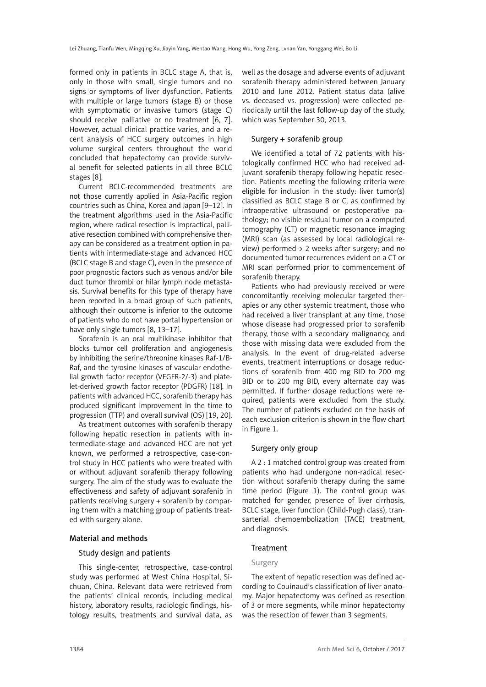formed only in patients in BCLC stage A, that is, only in those with small, single tumors and no signs or symptoms of liver dysfunction. Patients with multiple or large tumors (stage B) or those with symptomatic or invasive tumors (stage C) should receive palliative or no treatment [6, 7]. However, actual clinical practice varies, and a recent analysis of HCC surgery outcomes in high volume surgical centers throughout the world concluded that hepatectomy can provide survival benefit for selected patients in all three BCLC stages [8].

Current BCLC-recommended treatments are not those currently applied in Asia-Pacific region countries such as China, Korea and Japan [9–12]. In the treatment algorithms used in the Asia-Pacific region, where radical resection is impractical, palliative resection combined with comprehensive therapy can be considered as a treatment option in patients with intermediate-stage and advanced HCC (BCLC stage B and stage C), even in the presence of poor prognostic factors such as venous and/or bile duct tumor thrombi or hilar lymph node metastasis. Survival benefits for this type of therapy have been reported in a broad group of such patients, although their outcome is inferior to the outcome of patients who do not have portal hypertension or have only single tumors [8, 13-17].

Sorafenib is an oral multikinase inhibitor that blocks tumor cell proliferation and angiogenesis by inhibiting the serine/threonine kinases Raf-1/B-Raf, and the tyrosine kinases of vascular endothelial growth factor receptor (VEGFR-2/-3) and platelet-derived growth factor receptor (PDGFR) [18]. In patients with advanced HCC, sorafenib therapy has produced significant improvement in the time to progression (TTP) and overall survival (OS) [19, 20].

As treatment outcomes with sorafenib therapy following hepatic resection in patients with intermediate-stage and advanced HCC are not yet known, we performed a retrospective, case-control study in HCC patients who were treated with or without adjuvant sorafenib therapy following surgery. The aim of the study was to evaluate the effectiveness and safety of adjuvant sorafenib in patients receiving surgery + sorafenib by comparing them with a matching group of patients treated with surgery alone.

# Material and methods

## Study design and patients

This single-center, retrospective, case-control study was performed at West China Hospital, Sichuan, China. Relevant data were retrieved from the patients' clinical records, including medical history, laboratory results, radiologic findings, histology results, treatments and survival data, as well as the dosage and adverse events of adjuvant sorafenib therapy administered between January 2010 and June 2012. Patient status data (alive vs. deceased vs. progression) were collected periodically until the last follow-up day of the study, which was September 30, 2013.

## Surgery + sorafenib group

We identified a total of 72 patients with histologically confirmed HCC who had received adjuvant sorafenib therapy following hepatic resection. Patients meeting the following criteria were eligible for inclusion in the study: liver tumor(s) classified as BCLC stage B or C, as confirmed by intraoperative ultrasound or postoperative pathology; no visible residual tumor on a computed tomography (CT) or magnetic resonance imaging (MRI) scan (as assessed by local radiological review) performed > 2 weeks after surgery; and no documented tumor recurrences evident on a CT or MRI scan performed prior to commencement of sorafenib therapy.

Patients who had previously received or were concomitantly receiving molecular targeted therapies or any other systemic treatment, those who had received a liver transplant at any time, those whose disease had progressed prior to sorafenib therapy, those with a secondary malignancy, and those with missing data were excluded from the analysis. In the event of drug-related adverse events, treatment interruptions or dosage reductions of sorafenib from 400 mg BID to 200 mg BID or to 200 mg BID, every alternate day was permitted. If further dosage reductions were required, patients were excluded from the study. The number of patients excluded on the basis of each exclusion criterion is shown in the flow chart in Figure 1.

# Surgery only group

A 2 : 1 matched control group was created from patients who had undergone non-radical resection without sorafenib therapy during the same time period (Figure 1). The control group was matched for gender, presence of liver cirrhosis, BCLC stage, liver function (Child-Pugh class), transarterial chemoembolization (TACE) treatment, and diagnosis.

# Treatment

## Surgery

The extent of hepatic resection was defined according to Couinaud's classification of liver anatomy. Major hepatectomy was defined as resection of 3 or more segments, while minor hepatectomy was the resection of fewer than 3 segments.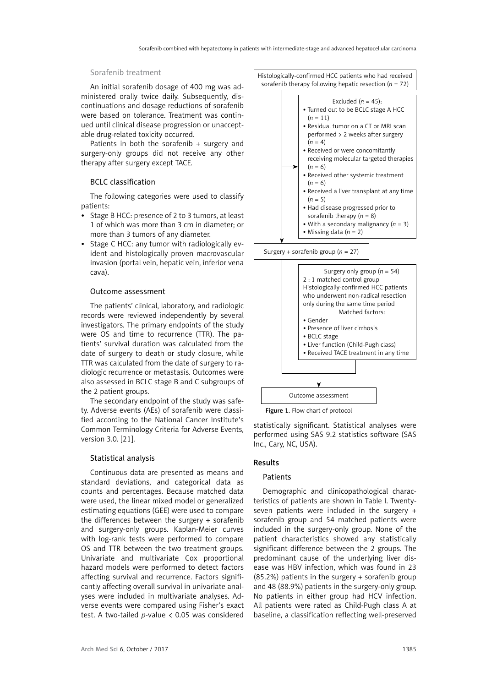#### Sorafenib treatment

An initial sorafenib dosage of 400 mg was administered orally twice daily. Subsequently, discontinuations and dosage reductions of sorafenib were based on tolerance. Treatment was continued until clinical disease progression or unacceptable drug-related toxicity occurred.

Patients in both the sorafenib + surgery and surgery-only groups did not receive any other therapy after surgery except TACE.

## BCLC classification

The following categories were used to classify patients:

- Stage B HCC: presence of 2 to 3 tumors, at least 1 of which was more than 3 cm in diameter; or more than 3 tumors of any diameter.
- Stage C HCC: any tumor with radiologically evident and histologically proven macrovascular invasion (portal vein, hepatic vein, inferior vena cava).

#### Outcome assessment

The patients' clinical, laboratory, and radiologic records were reviewed independently by several investigators. The primary endpoints of the study were OS and time to recurrence (TTR). The patients' survival duration was calculated from the date of surgery to death or study closure, while TTR was calculated from the date of surgery to radiologic recurrence or metastasis. Outcomes were also assessed in BCLC stage B and C subgroups of the 2 patient groups.

The secondary endpoint of the study was safety. Adverse events (AEs) of sorafenib were classified according to the National Cancer Institute's Common Terminology Criteria for Adverse Events, version 3.0. [21].

## Statistical analysis

Continuous data are presented as means and standard deviations, and categorical data as counts and percentages. Because matched data were used, the linear mixed model or generalized estimating equations (GEE) were used to compare the differences between the surgery + sorafenib and surgery-only groups. Kaplan-Meier curves with log-rank tests were performed to compare OS and TTR between the two treatment groups. Univariate and multivariate Cox proportional hazard models were performed to detect factors affecting survival and recurrence. Factors significantly affecting overall survival in univariate analyses were included in multivariate analyses. Adverse events were compared using Fisher's exact test. A two-tailed *p-*value < 0.05 was considered Histologically-confirmed HCC patients who had received sorafenib therapy following hepatic resection (*n* = 72)





Figure 1. Flow chart of protocol

statistically significant. Statistical analyses were performed using SAS 9.2 statistics software (SAS Inc., Cary, NC, USA).

## Results

## **Patients**

Demographic and clinicopathological characteristics of patients are shown in Table I. Twentyseven patients were included in the surgery + sorafenib group and 54 matched patients were included in the surgery-only group. None of the patient characteristics showed any statistically significant difference between the 2 groups. The predominant cause of the underlying liver disease was HBV infection, which was found in 23 (85.2%) patients in the surgery + sorafenib group and 48 (88.9%) patients in the surgery-only group. No patients in either group had HCV infection. All patients were rated as Child-Pugh class A at baseline, a classification reflecting well-preserved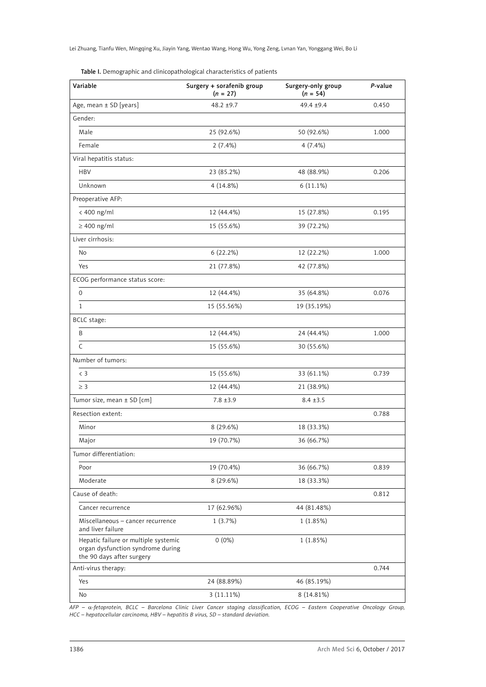Lei Zhuang, Tianfu Wen, Mingqing Xu, Jiayin Yang, Wentao Wang, Hong Wu, Yong Zeng, Lvnan Yan, Yonggang Wei, Bo Li

Table I. Demographic and clinicopathological characteristics of patients

| Variable                                                                                               | Surgery + sorafenib group<br>$(n = 27)$ | Surgery-only group<br>$(n = 54)$ | P-value |
|--------------------------------------------------------------------------------------------------------|-----------------------------------------|----------------------------------|---------|
| Age, mean ± SD [years]                                                                                 | $48.2 + 9.7$                            | 49.4 ±9.4                        | 0.450   |
| Gender:                                                                                                |                                         |                                  |         |
| Male                                                                                                   | 25 (92.6%)                              | 50 (92.6%)                       | 1.000   |
| Female                                                                                                 | 2(7.4%)                                 | $4(7.4\%)$                       |         |
| Viral hepatitis status:                                                                                |                                         |                                  |         |
| <b>HBV</b>                                                                                             | 23 (85.2%)                              | 48 (88.9%)                       | 0.206   |
| Unknown                                                                                                | 4 (14.8%)                               | $6(11.1\%)$                      |         |
| Preoperative AFP:                                                                                      |                                         |                                  |         |
| < 400 ng/ml                                                                                            | 12 (44.4%)                              | 15 (27.8%)                       | 0.195   |
| $\geq 400$ ng/ml                                                                                       | 15 (55.6%)                              | 39 (72.2%)                       |         |
| Liver cirrhosis:                                                                                       |                                         |                                  |         |
| No                                                                                                     | 6 (22.2%)                               | 12 (22.2%)                       | 1.000   |
| Yes                                                                                                    | 21 (77.8%)                              | 42 (77.8%)                       |         |
| ECOG performance status score:                                                                         |                                         |                                  |         |
| $\mathbf{O}$                                                                                           | 12 (44.4%)                              | 35 (64.8%)                       | 0.076   |
| $\mathbf{1}$                                                                                           | 15 (55.56%)                             | 19 (35.19%)                      |         |
| BCLC stage:                                                                                            |                                         |                                  |         |
| B                                                                                                      | 12 (44.4%)                              | 24 (44.4%)                       | 1.000   |
| C                                                                                                      | 15 (55.6%)                              | 30 (55.6%)                       |         |
| Number of tumors:                                                                                      |                                         |                                  |         |
| $\langle$ 3                                                                                            | 15 (55.6%)                              | 33 (61.1%)                       | 0.739   |
| $\geq$ 3                                                                                               | 12 (44.4%)                              | 21 (38.9%)                       |         |
| Tumor size, mean $\pm$ SD [cm]                                                                         | $7.8 \pm 3.9$                           | $8.4 \pm 3.5$                    |         |
| Resection extent:                                                                                      |                                         |                                  | 0.788   |
| Minor                                                                                                  | 8 (29.6%)                               | 18 (33.3%)                       |         |
| Major                                                                                                  | 19 (70.7%)                              | 36 (66.7%)                       |         |
| Tumor differentiation:                                                                                 |                                         |                                  |         |
| Poor                                                                                                   | 19 (70.4%)                              | 36 (66.7%)                       | 0.839   |
| Moderate                                                                                               | 8 (29.6%)                               | 18 (33.3%)                       |         |
| Cause of death:                                                                                        |                                         |                                  | 0.812   |
| Cancer recurrence                                                                                      | 17 (62.96%)                             | 44 (81.48%)                      |         |
| Miscellaneous - cancer recurrence<br>and liver failure                                                 | 1(3.7%)                                 | 1(1.85%)                         |         |
| Hepatic failure or multiple systemic<br>organ dysfunction syndrome during<br>the 90 days after surgery | $0(0\%)$                                | 1(1.85%)                         |         |
| Anti-virus therapy:                                                                                    |                                         |                                  | 0.744   |
| Yes                                                                                                    | 24 (88.89%)                             | 46 (85.19%)                      |         |
| No                                                                                                     | $3(11.11\%)$                            | 8 (14.81%)                       |         |

*AFP –* α*-fetoprotein, BCLC – Barcelona Clinic Liver Cancer staging classification, ECOG – Eastern Cooperative Oncology Group, HCC – hepatocellular carcinoma, HBV – hepatitis B virus, SD – standard deviation.*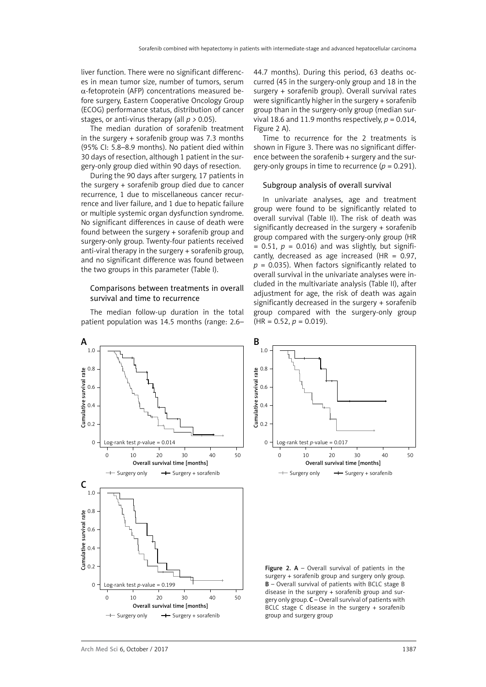liver function. There were no significant differences in mean tumor size, number of tumors, serum  $\alpha$ -fetoprotein (AFP) concentrations measured before surgery, Eastern Cooperative Oncology Group (ECOG) performance status, distribution of cancer stages, or anti-virus therapy (all *p >* 0.05).

The median duration of sorafenib treatment in the surgery + sorafenib group was 7.3 months (95% CI: 5.8–8.9 months). No patient died within 30 days of resection, although 1 patient in the surgery-only group died within 90 days of resection.

During the 90 days after surgery, 17 patients in the surgery + sorafenib group died due to cancer recurrence, 1 due to miscellaneous cancer recurrence and liver failure, and 1 due to hepatic failure or multiple systemic organ dysfunction syndrome. No significant differences in cause of death were found between the surgery + sorafenib group and surgery-only group. Twenty-four patients received anti-viral therapy in the surgery + sorafenib group, and no significant difference was found between the two groups in this parameter (Table I).

## Comparisons between treatments in overall survival and time to recurrence

The median follow-up duration in the total patient population was 14.5 months (range: 2.6–

44.7 months). During this period, 63 deaths occurred (45 in the surgery-only group and 18 in the surgery + sorafenib group). Overall survival rates were significantly higher in the surgery + sorafenib group than in the surgery-only group (median survival 18.6 and 11.9 months respectively,  $p = 0.014$ , Figure 2 A).

Time to recurrence for the 2 treatments is shown in Figure 3. There was no significant difference between the sorafenib + surgery and the surgery-only groups in time to recurrence  $(p = 0.291)$ .

### Subgroup analysis of overall survival

In univariate analyses, age and treatment group were found to be significantly related to overall survival (Table II). The risk of death was significantly decreased in the surgery + sorafenib group compared with the surgery-only group (HR  $= 0.51$ ,  $p = 0.016$ ) and was slightly, but significantly, decreased as age increased  $(HR = 0.97)$ .  $p = 0.035$ ). When factors significantly related to overall survival in the univariate analyses were included in the multivariate analysis (Table II), after adjustment for age, the risk of death was again significantly decreased in the surgery + sorafenib group compared with the surgery-only group  $(HR = 0.52, p = 0.019).$ 





Figure 2.  $A -$  Overall survival of patients in the surgery + sorafenib group and surgery only group. B – Overall survival of patients with BCLC stage B disease in the surgery + sorafenib group and surgery only group.  $C$  – Overall survival of patients with BCLC stage C disease in the surgery + sorafenib group and surgery group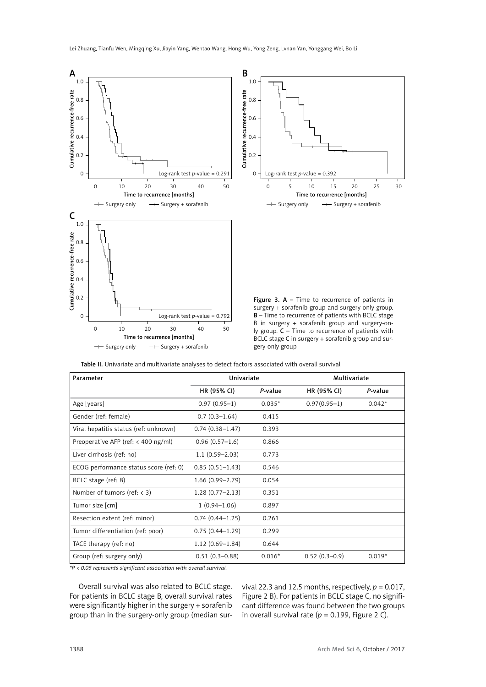

Table II. Univariate and multivariate analyses to detect factors associated with overall survival

| Univariate          |                                                                                    | Multivariate    |          |
|---------------------|------------------------------------------------------------------------------------|-----------------|----------|
| HR (95% CI)         | P-value                                                                            | HR (95% CI)     | P-value  |
| $0.97(0.95-1)$      | $0.035*$                                                                           | $0.97(0.95-1)$  | $0.042*$ |
| $0.7(0.3-1.64)$     | 0.415                                                                              |                 |          |
| $0.74(0.38 - 1.47)$ | 0.393                                                                              |                 |          |
| $0.96(0.57-1.6)$    | 0.866                                                                              |                 |          |
| $1.1(0.59 - 2.03)$  | 0.773                                                                              |                 |          |
| $0.85(0.51 - 1.43)$ | 0.546                                                                              |                 |          |
| $1.66(0.99 - 2.79)$ | 0.054                                                                              |                 |          |
| $1.28(0.77 - 2.13)$ | 0.351                                                                              |                 |          |
| $1(0.94 - 1.06)$    | 0.897                                                                              |                 |          |
| $0.74(0.44 - 1.25)$ | 0.261                                                                              |                 |          |
| $0.75(0.44 - 1.29)$ | 0.299                                                                              |                 |          |
| $1.12(0.69 - 1.84)$ | 0.644                                                                              |                 |          |
| $0.51(0.3 - 0.88)$  | $0.016*$                                                                           | $0.52(0.3-0.9)$ | $0.019*$ |
|                     | $*D \times Q$ as represented in the continue of $\alpha$ and $\alpha$ and $\alpha$ |                 |          |

*\*P < 0.05 represents significant association with overall survival.*

Overall survival was also related to BCLC stage. For patients in BCLC stage B, overall survival rates were significantly higher in the surgery + sorafenib group than in the surgery-only group (median survival 22.3 and 12.5 months, respectively, *p* = 0.017, Figure 2 B). For patients in BCLC stage C, no significant difference was found between the two groups in overall survival rate ( $p = 0.199$ , Figure 2 C).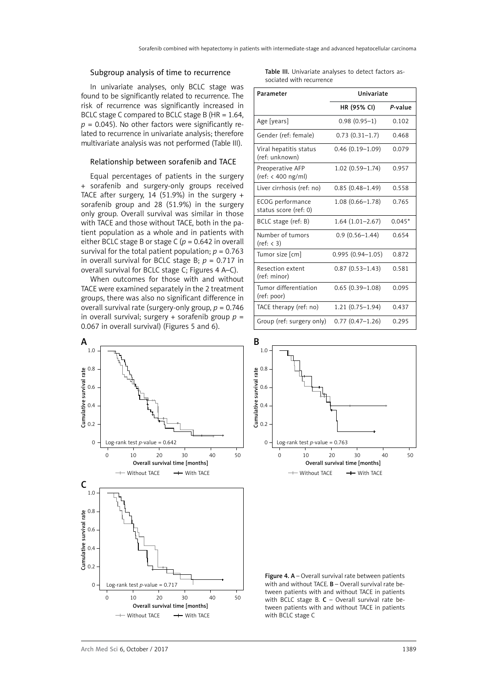#### Subgroup analysis of time to recurrence

In univariate analyses, only BCLC stage was found to be significantly related to recurrence. The risk of recurrence was significantly increased in BCLC stage C compared to BCLC stage B (HR = 1.64,  $p = 0.045$ ). No other factors were significantly related to recurrence in univariate analysis; therefore multivariate analysis was not performed (Table III).

#### Relationship between sorafenib and TACE

Equal percentages of patients in the surgery + sorafenib and surgery-only groups received TACE after surgery, 14 (51.9%) in the surgery  $+$ sorafenib group and 28 (51.9%) in the surgery only group. Overall survival was similar in those with TACE and those without TACE, both in the patient population as a whole and in patients with either BCLC stage B or stage C ( $p = 0.642$  in overall survival for the total patient population;  $p = 0.763$ in overall survival for BCLC stage B; *p* = 0.717 in overall survival for BCLC stage C; Figures 4 A–C).

When outcomes for those with and without TACE were examined separately in the 2 treatment groups, there was also no significant difference in overall survival rate (surgery-only group, *p* = 0.746 in overall survival; surgery + sorafenib group  $p =$ 0.067 in overall survival) (Figures 5 and 6).



Table III. Univariate analyses to detect factors associated with recurrence

| Parameter                                 | Univariate           |          |  |
|-------------------------------------------|----------------------|----------|--|
|                                           | HR (95% CI)          | P-value  |  |
| Age [years]                               | $0.98(0.95-1)$       | 0.102    |  |
| Gender (ref: female)                      | $0.73(0.31-1.7)$     | 0.468    |  |
| Viral hepatitis status<br>(ref: unknown)  | $0.46(0.19-1.09)$    | 0.079    |  |
| Preoperative AFP<br>(ref: < 400 ng/ml)    | 1.02 (0.59-1.74)     | 0.957    |  |
| Liver cirrhosis (ref: no)                 | $0.85(0.48 - 1.49)$  | 0.558    |  |
| ECOG performance<br>status score (ref: 0) | $1.08(0.66 - 1.78)$  | 0.765    |  |
| BCLC stage (ref: B)                       | $1.64(1.01-2.67)$    | $0.045*$ |  |
| Number of tumors<br>(ref: < 3)            | $0.9(0.56 - 1.44)$   | 0.654    |  |
| Tumor size [cm]                           | $0.995(0.94 - 1.05)$ | 0.872    |  |
| Resection extent<br>(ref: minor)          | $0.87(0.53 - 1.43)$  | 0.581    |  |
| Tumor differentiation<br>(ref: poor)      | $0.65(0.39-1.08)$    | 0.095    |  |
| TACE therapy (ref: no)                    | $1.21(0.75 - 1.94)$  | 0.437    |  |
| Group (ref: surgery only)                 | $0.77(0.47-1.26)$    | 0.295    |  |



Figure 4. A - Overall survival rate between patients with and without TACE. B – Overall survival rate between patients with and without TACE in patients with BCLC stage B.  $C$  – Overall survival rate between patients with and without TACE in patients with BCLC stage C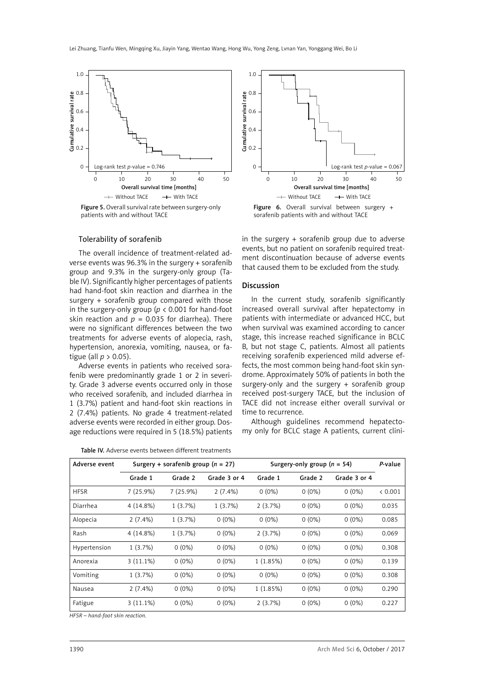

Figure 5. Overall survival rate between surgery-only patients with and without TACE

#### Tolerability of sorafenib

The overall incidence of treatment-related adverse events was 96.3% in the surgery + sorafenib group and 9.3% in the surgery-only group (Table IV). Significantly higher percentages of patients had hand-foot skin reaction and diarrhea in the surgery + sorafenib group compared with those in the surgery-only group ( $p < 0.001$  for hand-foot skin reaction and  $p = 0.035$  for diarrhea). There were no significant differences between the two treatments for adverse events of alopecia, rash, hypertension, anorexia, vomiting, nausea, or fatigue (all  $p > 0.05$ ).

Adverse events in patients who received sorafenib were predominantly grade 1 or 2 in severity. Grade 3 adverse events occurred only in those who received sorafenib, and included diarrhea in 1 (3.7%) patient and hand-foot skin reactions in 2 (7.4%) patients. No grade 4 treatment-related adverse events were recorded in either group. Dosage reductions were required in 5 (18.5%) patients

| Table IV. Adverse events between different treatments |  |  |  |
|-------------------------------------------------------|--|--|--|
|-------------------------------------------------------|--|--|--|



Figure 6. Overall survival between surgery + sorafenib patients with and without TACE

in the surgery + sorafenib group due to adverse events, but no patient on sorafenib required treatment discontinuation because of adverse events that caused them to be excluded from the study.

#### Discussion

In the current study, sorafenib significantly increased overall survival after hepatectomy in patients with intermediate or advanced HCC, but when survival was examined according to cancer stage, this increase reached significance in BCLC B, but not stage C, patients. Almost all patients receiving sorafenib experienced mild adverse effects, the most common being hand-foot skin syndrome. Approximately 50% of patients in both the surgery-only and the surgery + sorafenib group received post-surgery TACE, but the inclusion of TACE did not increase either overall survival or time to recurrence.

Although guidelines recommend hepatectomy only for BCLC stage A patients, current clini-

| Adverse event | Surgery + sorafenib group $(n = 27)$ |          | Surgery-only group $(n = 54)$ |          |          | P-value      |         |
|---------------|--------------------------------------|----------|-------------------------------|----------|----------|--------------|---------|
|               | Grade 1                              | Grade 2  | Grade 3 or 4                  | Grade 1  | Grade 2  | Grade 3 or 4 |         |
| <b>HFSR</b>   | 7(25.9%)                             | 7(25.9%) | $2(7.4\%)$                    | $0(0\%)$ | $0(0\%)$ | $0(0\%)$     | < 0.001 |
| Diarrhea      | 4 (14.8%)                            | 1(3.7%)  | 1(3.7%)                       | 2(3.7%)  | $0(0\%)$ | $0(0\%)$     | 0.035   |
| Alopecia      | $2(7.4\%)$                           | 1(3.7%)  | $0(0\%)$                      | $0(0\%)$ | $0(0\%)$ | $0(0\%)$     | 0.085   |
| Rash          | 4 (14.8%)                            | 1(3.7%)  | $0(0\%)$                      | 2(3.7%)  | $0(0\%)$ | $0(0\%)$     | 0.069   |
| Hypertension  | 1(3.7%)                              | $0(0\%)$ | $0(0\%)$                      | $0(0\%)$ | $0(0\%)$ | $0(0\%)$     | 0.308   |
| Anorexia      | $3(11.1\%)$                          | $0(0\%)$ | $0(0\%)$                      | 1(1.85%) | $0(0\%)$ | $0(0\%)$     | 0.139   |
| Vomiting      | 1(3.7%)                              | $0(0\%)$ | $0(0\%)$                      | $0(0\%)$ | $0(0\%)$ | $0(0\%)$     | 0.308   |
| Nausea        | 2(7.4%)                              | $0(0\%)$ | $0(0\%)$                      | 1(1.85%) | $0(0\%)$ | $0(0\%)$     | 0.290   |
| Fatigue       | $3(11.1\%)$                          | $0(0\%)$ | $0(0\%)$                      | 2(3.7%)  | $0(0\%)$ | $0(0\%)$     | 0.227   |

*HFSR – hand-foot skin reaction.*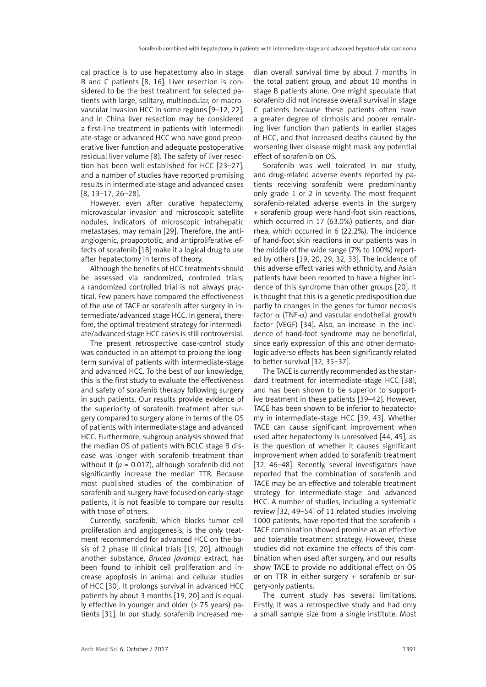cal practice is to use hepatectomy also in stage B and C patients [8, 16]. Liver resection is considered to be the best treatment for selected patients with large, solitary, multinodular, or macrovascular invasion HCC in some regions [9–12, 22], and in China liver resection may be considered a first-line treatment in patients with intermediate-stage or advanced HCC who have good preoperative liver function and adequate postoperative residual liver volume [8]. The safety of liver resection has been well established for HCC [23–27], and a number of studies have reported promising results in intermediate-stage and advanced cases [8, 13–17, 26–28].

However, even after curative hepatectomy, microvascular invasion and microscopic satellite nodules, indicators of microscopic intrahepatic metastases, may remain [29]. Therefore, the antiangiogenic, proapoptotic, and antiproliferative effects of sorafenib [18] make it a logical drug to use after hepatectomy in terms of theory.

Although the benefits of HCC treatments should be assessed via randomized, controlled trials, a randomized controlled trial is not always practical. Few papers have compared the effectiveness of the use of TACE or sorafenib after surgery in intermediate/advanced stage HCC. In general, therefore, the optimal treatment strategy for intermediate/advanced stage HCC cases is still controversial.

The present retrospective case-control study was conducted in an attempt to prolong the longterm survival of patients with intermediate-stage and advanced HCC. To the best of our knowledge, this is the first study to evaluate the effectiveness and safety of sorafenib therapy following surgery in such patients. Our results provide evidence of the superiority of sorafenib treatment after surgery compared to surgery alone in terms of the OS of patients with intermediate-stage and advanced HCC. Furthermore, subgroup analysis showed that the median OS of patients with BCLC stage B disease was longer with sorafenib treatment than without it  $(p = 0.017)$ , although sorafenib did not significantly increase the median TTR. Because most published studies of the combination of sorafenib and surgery have focused on early-stage patients, it is not feasible to compare our results with those of others.

Currently, sorafenib, which blocks tumor cell proliferation and angiogenesis, is the only treatment recommended for advanced HCC on the basis of 2 phase III clinical trials [19, 20], although another substance, *Brucea javanica* extract, has been found to inhibit cell proliferation and increase apoptosis in animal and cellular studies of HCC [30]. It prolongs survival in advanced HCC patients by about 3 months [19, 20] and is equally effective in younger and older (> 75 years) patients [31]. In our study, sorafenib increased median overall survival time by about 7 months in the total patient group, and about 10 months in stage B patients alone. One might speculate that sorafenib did not increase overall survival in stage C patients because these patients often have a greater degree of cirrhosis and poorer remaining liver function than patients in earlier stages of HCC, and that increased deaths caused by the worsening liver disease might mask any potential effect of sorafenib on OS.

Sorafenib was well tolerated in our study, and drug-related adverse events reported by patients receiving sorafenib were predominantly only grade 1 or 2 in severity. The most frequent sorafenib-related adverse events in the surgery + sorafenib group were hand-foot skin reactions, which occurred in 17 (63.0%) patients, and diarrhea, which occurred in 6 (22.2%). The incidence of hand-foot skin reactions in our patients was in the middle of the wide range (7% to 100%) reported by others [19, 20, 29, 32, 33]. The incidence of this adverse effect varies with ethnicity, and Asian patients have been reported to have a higher incidence of this syndrome than other groups [20]. It is thought that this is a genetic predisposition due partly to changes in the genes for tumor necrosis factor α (TNF-α) and vascular endothelial growth factor (VEGF) [34]. Also, an increase in the incidence of hand-foot syndrome may be beneficial, since early expression of this and other dermatologic adverse effects has been significantly related to better survival [32, 35–37].

The TACE is currently recommended as the standard treatment for intermediate-stage HCC [38], and has been shown to be superior to supportive treatment in these patients [39–42]. However, TACE has been shown to be inferior to hepatectomy in intermediate-stage HCC [39, 43]. Whether TACE can cause significant improvement when used after hepatectomy is unresolved [44, 45], as is the question of whether it causes significant improvement when added to sorafenib treatment [32, 46–48]. Recently, several investigators have reported that the combination of sorafenib and TACE may be an effective and tolerable treatment strategy for intermediate-stage and advanced HCC. A number of studies, including a systematic review [32, 49–54] of 11 related studies involving 1000 patients, have reported that the sorafenib + TACE combination showed promise as an effective and tolerable treatment strategy. However, these studies did not examine the effects of this combination when used after surgery, and our results show TACE to provide no additional effect on OS or on TTR in either surgery + sorafenib or surgery-only patients.

The current study has several limitations. Firstly, it was a retrospective study and had only a small sample size from a single institute. Most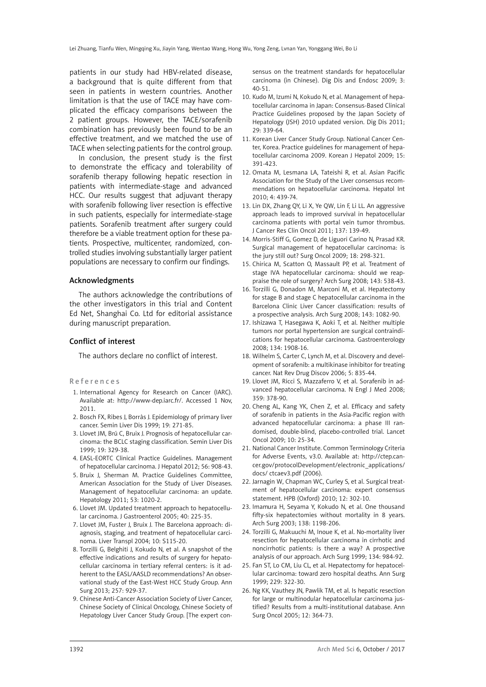patients in our study had HBV-related disease, a background that is quite different from that seen in patients in western countries. Another limitation is that the use of TACE may have complicated the efficacy comparisons between the 2 patient groups. However, the TACE/sorafenib combination has previously been found to be an effective treatment, and we matched the use of TACE when selecting patients for the control group.

In conclusion, the present study is the first to demonstrate the efficacy and tolerability of sorafenib therapy following hepatic resection in patients with intermediate-stage and advanced HCC. Our results suggest that adjuvant therapy with sorafenib following liver resection is effective in such patients, especially for intermediate-stage patients. Sorafenib treatment after surgery could therefore be a viable treatment option for these patients. Prospective, multicenter, randomized, controlled studies involving substantially larger patient populations are necessary to confirm our findings.

### Acknowledgments

The authors acknowledge the contributions of the other investigators in this trial and Content Ed Net, Shanghai Co. Ltd for editorial assistance during manuscript preparation.

## Conflict of interest

The authors declare no conflict of interest.

#### References

- 1. International Agency for Research on Cancer (IARC). Available at: [http://www-dep.iarc.fr/.](http://www-dep.iarc.fr/) Accessed 1 Nov, 2011.
- 2. Bosch FX, Ribes J, Borràs J. Epidemiology of primary liver cancer. Semin Liver Dis 1999; 19: 271-85.
- 3. Llovet JM, Brú C, Bruix J. Prognosis of hepatocellular carcinoma: the BCLC staging classification. Semin Liver Dis 1999; 19: 329-38.
- 4. EASL-EORTC Clinical Practice Guidelines. Management of hepatocellular carcinoma. J Hepatol 2012; 56: 908-43.
- 5. Bruix J, Sherman M. Practice Guidelines Committee, American Association for the Study of Liver Diseases. Management of hepatocellular carcinoma: an update. Hepatology 2011; 53: 1020-2.
- 6. Llovet JM. Updated treatment approach to hepatocellular carcinoma. J Gastroenterol 2005; 40: 225-35.
- 7. Llovet JM, Fuster J, Bruix J. The Barcelona approach: diagnosis, staging, and treatment of hepatocellular carcinoma. Liver Transpl 2004; 10: S115-20.
- 8. Torzilli G, Belghiti J, Kokudo N, et al. A snapshot of the effective indications and results of surgery for hepatocellular carcinoma in tertiary referral centers: is it adherent to the EASL/AASLD recommendations? An observational study of the East-West HCC Study Group. Ann Surg 2013; 257: 929-37.
- 9. Chinese Anti-Cancer Association Society of Liver Cancer, Chinese Society of Clinical Oncology, Chinese Society of Hepatology Liver Cancer Study Group. [The expert con-

sensus on the treatment standards for hepatocellular carcinoma (in Chinese). Dig Dis and Endosc 2009; 3: 40-51.

- 10. Kudo M, Izumi N, Kokudo N, et al. Management of hepatocellular carcinoma in Japan: Consensus-Based Clinical Practice Guidelines proposed by the Japan Society of Hepatology (JSH) 2010 updated version. Dig Dis 2011; 29: 339-64.
- 11. Korean Liver Cancer Study Group. National Cancer Center, Korea. Practice guidelines for management of hepatocellular carcinoma 2009. Korean J Hepatol 2009; 15: 391-423.
- 12. [Omata M](http://www.ncbi.nlm.nih.gov/pubmed/?term=Omata M%5BAuthor%5D&cauthor=true&cauthor_uid=20827404),  [Lesmana LA](http://www.ncbi.nlm.nih.gov/pubmed/?term=Lesmana LA%5BAuthor%5D&cauthor=true&cauthor_uid=20827404),  [Tateishi R,](http://www.ncbi.nlm.nih.gov/pubmed/?term=Tateishi R%5BAuthor%5D&cauthor=true&cauthor_uid=20827404) et al. Asian Pacific Association for the Study of the Liver consensus recommendations on hepatocellular carcinoma. Hepatol Int 2010; 4: 439-74.
- 13. Lin DX, Zhang QY, Li X, Ye QW, Lin F, Li LL. An aggressive approach leads to improved survival in hepatocellular carcinoma patients with portal vein tumor thrombus. J Cancer Res Clin Oncol 2011; 137: 139-49.
- 14. Morris-Stiff G, Gomez D, de Liguori Carino N, Prasad KR. Surgical management of hepatocellular carcinoma: is the jury still out? Surg Oncol 2009; 18: 298-321.
- 15. Chirica M, Scatton O, Massault PP, et al. Treatment of stage IVA hepatocellular carcinoma: should we reappraise the role of surgery? Arch Surg 2008; 143: 538-43.
- 16. Torzilli G, Donadon M, Marconi M, et al. Hepatectomy for stage B and stage C hepatocellular carcinoma in the Barcelona Clinic Liver Cancer classification: results of a prospective analysis. Arch Surg 2008; 143: 1082-90.
- 17. Ishizawa T, Hasegawa K, Aoki T, et al. Neither multiple tumors nor portal hypertension are surgical contraindications for hepatocellular carcinoma. Gastroenterology 2008; 134: 1908-16.
- 18. Wilhelm S, Carter C, Lynch M, et al. Discovery and development of sorafenib: a multikinase inhibitor for treating cancer. Nat Rev Drug Discov 2006; 5: 835-44.
- 19. Llovet JM, Ricci S, Mazzaferro V, et al. Sorafenib in advanced hepatocellular carcinoma. N Engl J Med 2008; 359: 378-90.
- 20. Cheng AL, Kang YK, Chen Z, et al. Efficacy and safety of sorafenib in patients in the Asia-Pacific region with advanced hepatocellular carcinoma: a phase III randomised, double-blind, placebo-controlled trial. Lancet Oncol 2009; 10: 25-34.
- 21. National Cancer Institute. Common Terminology Criteria for Adverse Events, v3.0. Available at: [http://ctep.can](http://ctep.cancer.gov/protocolDevelopment/electronic_applications/docs/)[cer.gov/protocolDevelopment/electronic\\_applications/](http://ctep.cancer.gov/protocolDevelopment/electronic_applications/docs/) [docs/](http://ctep.cancer.gov/protocolDevelopment/electronic_applications/docs/) ctcaev3.pdf (2006).
- 22. Jarnagin W, Chapman WC, Curley S, et al. Surgical treatment of hepatocellular carcinoma: expert consensus statement. HPB (Oxford) 2010; 12: 302-10.
- 23. Imamura H, Seyama Y, Kokudo N, et al. One thousand fifty-six hepatectomies without mortality in 8 years. Arch Surg 2003; 138: 1198-206.
- 24. Torzilli G, Makuuchi M, Inoue K, et al. No-mortality liver resection for hepatocellular carcinoma in cirrhotic and noncirrhotic patients: is there a way? A prospective analysis of our approach. Arch Surg 1999; 134: 984-92.
- 25. Fan ST, Lo CM, Liu CL, et al. Hepatectomy for hepatocellular carcinoma: toward zero hospital deaths. Ann Surg 1999; 229: 322-30.
- 26. Ng KK, Vauthey JN, Pawlik TM, et al. Is hepatic resection for large or multinodular hepatocellular carcinoma justified? Results from a multi-institutional database. Ann Surg Oncol 2005; 12: 364-73.